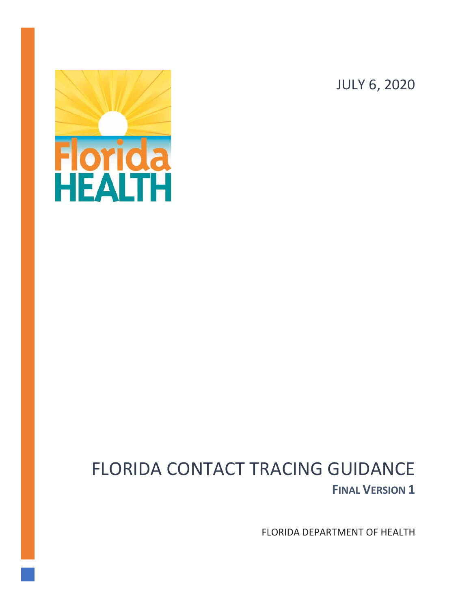

JULY 6, 2020

# FLORIDA CONTACT TRACING GUIDANCE **FINAL VERSION 1**

FLORIDA DEPARTMENT OF HEALTH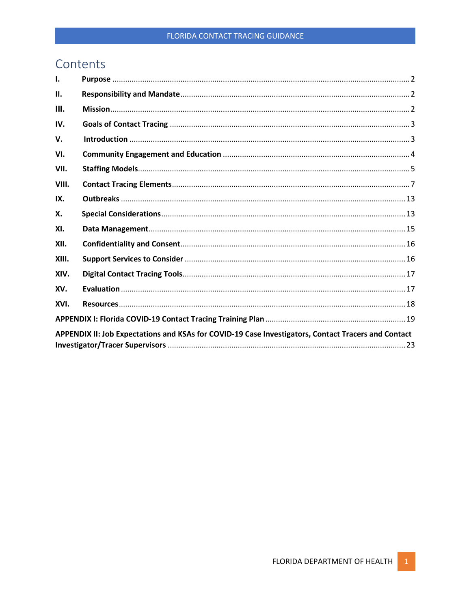# Contents

| Ι.                                                                                                  |  |  |
|-----------------------------------------------------------------------------------------------------|--|--|
| Ш.                                                                                                  |  |  |
| III.                                                                                                |  |  |
| IV.                                                                                                 |  |  |
| V.                                                                                                  |  |  |
| VI.                                                                                                 |  |  |
| VII.                                                                                                |  |  |
| VIII.                                                                                               |  |  |
| IX.                                                                                                 |  |  |
| X.                                                                                                  |  |  |
| XI.                                                                                                 |  |  |
| XII.                                                                                                |  |  |
| XIII.                                                                                               |  |  |
| XIV.                                                                                                |  |  |
| XV.                                                                                                 |  |  |
| XVI.                                                                                                |  |  |
|                                                                                                     |  |  |
| APPENDIX II: Job Expectations and KSAs for COVID-19 Case Investigators, Contact Tracers and Contact |  |  |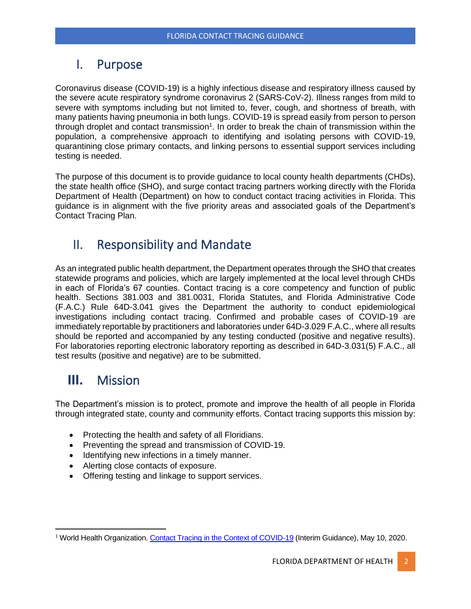### <span id="page-2-0"></span>I. Purpose

Coronavirus disease (COVID-19) is a highly infectious disease and respiratory illness caused by the severe acute respiratory syndrome coronavirus 2 (SARS-CoV-2). Illness ranges from mild to severe with symptoms including but not limited to, fever, cough, and shortness of breath, with many patients having pneumonia in both lungs. COVID-19 is spread easily from person to person through droplet and contact transmission<sup>1</sup>. In order to break the chain of transmission within the population, a comprehensive approach to identifying and isolating persons with COVID-19, quarantining close primary contacts, and linking persons to essential support services including testing is needed.

The purpose of this document is to provide guidance to local county health departments (CHDs), the state health office (SHO), and surge contact tracing partners working directly with the Florida Department of Health (Department) on how to conduct contact tracing activities in Florida. This guidance is in alignment with the five priority areas and associated goals of the Department's Contact Tracing Plan.

### <span id="page-2-1"></span>II. Responsibility and Mandate

As an integrated public health department, the Department operates through the SHO that creates statewide programs and policies, which are largely implemented at the local level through CHDs in each of Florida's 67 counties. Contact tracing is a core competency and function of public health. Sections 381.003 and 381.0031, Florida Statutes, and Florida Administrative Code (F.A.C.) Rule 64D-3.041 gives the Department the authority to conduct epidemiological investigations including contact tracing. Confirmed and probable cases of COVID-19 are immediately reportable by practitioners and laboratories under 64D-3.029 F.A.C., where all results should be reported and accompanied by any testing conducted (positive and negative results). For laboratories reporting electronic laboratory reporting as described in 64D-3.031(5) F.A.C., all test results (positive and negative) are to be submitted.

# <span id="page-2-2"></span>**III.** Mission

The Department's mission is to protect, promote and improve the health of all people in Florida through integrated state, county and community efforts. Contact tracing supports this mission by:

- Protecting the health and safety of all Floridians.
- Preventing the spread and transmission of COVID-19.
- Identifying new infections in a timely manner.
- Alerting close contacts of exposure.
- Offering testing and linkage to support services.

<sup>1</sup> World Health Organization. [Contact Tracing in the Context of COVID-19](https://floridahealth.sharepoint.com/sites/PUBLICHEALTHSTATS/COVID19ContactTracingPlan/Shared%20Documents/Supporting%20Documentation/WHO-2019-nCoV-Contact_Tracing-2020.1-eng%20(1).pdf) (Interim Guidance), May 10, 2020.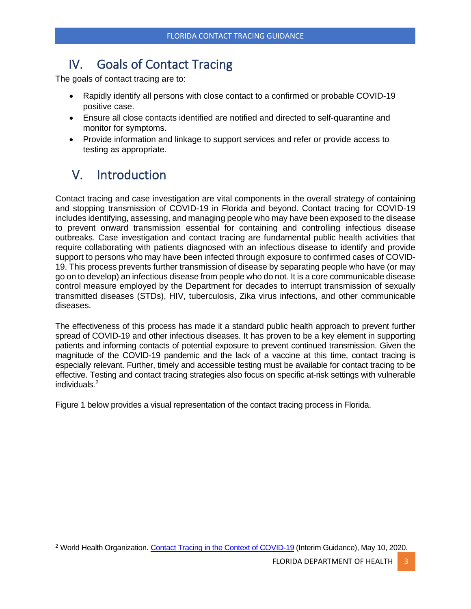# <span id="page-3-0"></span>IV. Goals of Contact Tracing

The goals of contact tracing are to:

- Rapidly identify all persons with close contact to a confirmed or probable COVID-19 positive case.
- Ensure all close contacts identified are notified and directed to self-quarantine and monitor for symptoms.
- Provide information and linkage to support services and refer or provide access to testing as appropriate.

# <span id="page-3-1"></span>V. Introduction

Contact tracing and case investigation are vital components in the overall strategy of containing and stopping transmission of COVID-19 in Florida and beyond. Contact tracing for COVID-19 includes identifying, assessing, and managing people who may have been exposed to the disease to prevent onward transmission essential for containing and controlling infectious disease outbreaks. Case investigation and contact tracing are fundamental public health activities that require collaborating with patients diagnosed with an infectious disease to identify and provide support to persons who may have been infected through exposure to confirmed cases of COVID-19. This process prevents further transmission of disease by separating people who have (or may go on to develop) an infectious disease from people who do not. It is a core communicable disease control measure employed by the Department for decades to interrupt transmission of sexually transmitted diseases (STDs), HIV, tuberculosis, Zika virus infections, and other communicable diseases.

The effectiveness of this process has made it a standard public health approach to prevent further spread of COVID-19 and other infectious diseases. It has proven to be a key element in supporting patients and informing contacts of potential exposure to prevent continued transmission. Given the magnitude of the COVID-19 pandemic and the lack of a vaccine at this time, contact tracing is especially relevant. Further, timely and accessible testing must be available for contact tracing to be effective. Testing and contact tracing strategies also focus on specific at-risk settings with vulnerable individuals.<sup>2</sup>

Figure 1 below provides a visual representation of the contact tracing process in Florida.

<sup>2</sup> World Health Organization. Contact [Tracing in the Context of COVID-19](https://floridahealth.sharepoint.com/sites/PUBLICHEALTHSTATS/COVID19ContactTracingPlan/Shared%20Documents/Supporting%20Documentation/WHO-2019-nCoV-Contact_Tracing-2020.1-eng%20(1).pdf) (Interim Guidance), May 10, 2020.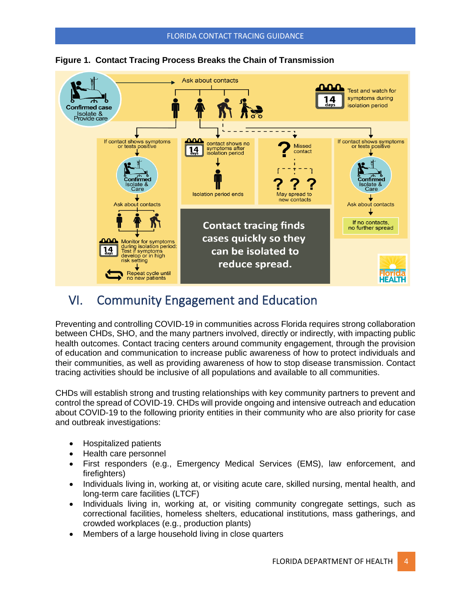

### **Figure 1. Contact Tracing Process Breaks the Chain of Transmission**

### <span id="page-4-0"></span>VI. Community Engagement and Education

Preventing and controlling COVID-19 in communities across Florida requires strong collaboration between CHDs, SHO, and the many partners involved, directly or indirectly, with impacting public health outcomes. Contact tracing centers around community engagement, through the provision of education and communication to increase public awareness of how to protect individuals and their communities, as well as providing awareness of how to stop disease transmission. Contact tracing activities should be inclusive of all populations and available to all communities.

CHDs will establish strong and trusting relationships with key community partners to prevent and control the spread of COVID-19. CHDs will provide ongoing and intensive outreach and education about COVID-19 to the following priority entities in their community who are also priority for case and outbreak investigations:

- Hospitalized patients
- Health care personnel
- First responders (e.g., Emergency Medical Services (EMS), law enforcement, and firefighters)
- Individuals living in, working at, or visiting acute care, skilled nursing, mental health, and long-term care facilities (LTCF)
- Individuals living in, working at, or visiting community congregate settings, such as correctional facilities, homeless shelters, educational institutions, mass gatherings, and crowded workplaces (e.g., production plants)
- Members of a large household living in close quarters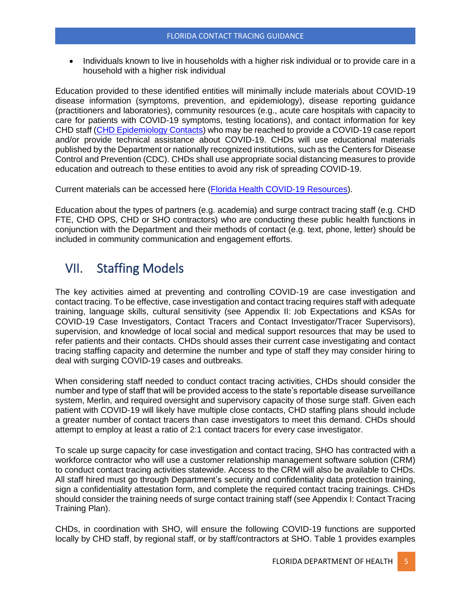• Individuals known to live in households with a higher risk individual or to provide care in a household with a higher risk individual

Education provided to these identified entities will minimally include materials about COVID-19 disease information (symptoms, prevention, and epidemiology), disease reporting guidance (practitioners and laboratories), community resources (e.g., acute care hospitals with capacity to care for patients with COVID-19 symptoms, testing locations), and contact information for key CHD staff [\(CHD Epidemiology Contacts\)](http://www.flhealth.gov/chdepicontact) who may be reached to provide a COVID-19 case report and/or provide technical assistance about COVID-19. CHDs will use educational materials published by the Department or nationally recognized institutions, such as the Centers for Disease Control and Prevention (CDC). CHDs shall use appropriate social distancing measures to provide education and outreach to these entities to avoid any risk of spreading COVID-19.

Current materials can be accessed here [\(Florida Health COVID-19 Resources\)](https://floridahealthcovid19.gov/resources/).

Education about the types of partners (e.g. academia) and surge contract tracing staff (e.g. CHD FTE, CHD OPS, CHD or SHO contractors) who are conducting these public health functions in conjunction with the Department and their methods of contact (e.g. text, phone, letter) should be included in community communication and engagement efforts.

# <span id="page-5-0"></span>VII. Staffing Models

The key activities aimed at preventing and controlling COVID-19 are case investigation and contact tracing. To be effective, case investigation and contact tracing requires staff with adequate training, language skills, cultural sensitivity (see Appendix II: Job Expectations and KSAs for COVID-19 Case Investigators, Contact Tracers and Contact Investigator/Tracer Supervisors), supervision, and knowledge of local social and medical support resources that may be used to refer patients and their contacts. CHDs should asses their current case investigating and contact tracing staffing capacity and determine the number and type of staff they may consider hiring to deal with surging COVID-19 cases and outbreaks.

When considering staff needed to conduct contact tracing activities, CHDs should consider the number and type of staff that will be provided access to the state's reportable disease surveillance system, Merlin, and required oversight and supervisory capacity of those surge staff. Given each patient with COVID-19 will likely have multiple close contacts, CHD staffing plans should include a greater number of contact tracers than case investigators to meet this demand. CHDs should attempt to employ at least a ratio of 2:1 contact tracers for every case investigator.

To scale up surge capacity for case investigation and contact tracing, SHO has contracted with a workforce contractor who will use a customer relationship management software solution (CRM) to conduct contact tracing activities statewide. Access to the CRM will also be available to CHDs. All staff hired must go through Department's security and confidentiality data protection training, sign a confidentiality attestation form, and complete the required contact tracing trainings. CHDs should consider the training needs of surge contact training staff (see Appendix I: Contact Tracing Training Plan).

CHDs, in coordination with SHO, will ensure the following COVID-19 functions are supported locally by CHD staff, by regional staff, or by staff/contractors at SHO. Table 1 provides examples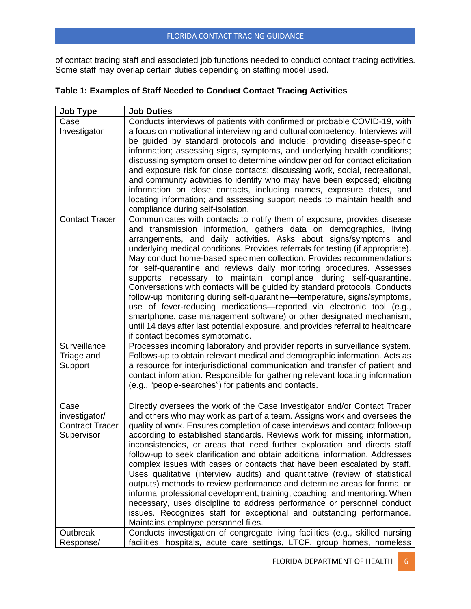of contact tracing staff and associated job functions needed to conduct contact tracing activities. Some staff may overlap certain duties depending on staffing model used.

|  |  |  |  | Table 1: Examples of Staff Needed to Conduct Contact Tracing Activities |
|--|--|--|--|-------------------------------------------------------------------------|
|--|--|--|--|-------------------------------------------------------------------------|

| <b>Job Type</b>                                               | <b>Job Duties</b>                                                                                                                                                                                                                                                                                                                                                                                                                                                                                                                                                                                                                                                                                                                                                                                                                                                                                                                                                                              |
|---------------------------------------------------------------|------------------------------------------------------------------------------------------------------------------------------------------------------------------------------------------------------------------------------------------------------------------------------------------------------------------------------------------------------------------------------------------------------------------------------------------------------------------------------------------------------------------------------------------------------------------------------------------------------------------------------------------------------------------------------------------------------------------------------------------------------------------------------------------------------------------------------------------------------------------------------------------------------------------------------------------------------------------------------------------------|
| Case<br>Investigator                                          | Conducts interviews of patients with confirmed or probable COVID-19, with<br>a focus on motivational interviewing and cultural competency. Interviews will<br>be guided by standard protocols and include: providing disease-specific<br>information; assessing signs, symptoms, and underlying health conditions;<br>discussing symptom onset to determine window period for contact elicitation<br>and exposure risk for close contacts; discussing work, social, recreational,<br>and community activities to identify who may have been exposed; eliciting<br>information on close contacts, including names, exposure dates, and<br>locating information; and assessing support needs to maintain health and<br>compliance during self-isolation.                                                                                                                                                                                                                                         |
| <b>Contact Tracer</b>                                         | Communicates with contacts to notify them of exposure, provides disease<br>and transmission information, gathers data on demographics, living<br>arrangements, and daily activities. Asks about signs/symptoms and<br>underlying medical conditions. Provides referrals for testing (if appropriate).<br>May conduct home-based specimen collection. Provides recommendations<br>for self-quarantine and reviews daily monitoring procedures. Assesses<br>supports necessary to maintain compliance during self-quarantine.<br>Conversations with contacts will be guided by standard protocols. Conducts<br>follow-up monitoring during self-quarantine-temperature, signs/symptoms,<br>use of fever-reducing medications—reported via electronic tool (e.g.,<br>smartphone, case management software) or other designated mechanism,<br>until 14 days after last potential exposure, and provides referral to healthcare<br>if contact becomes symptomatic.                                  |
| Surveillance<br>Triage and<br>Support                         | Processes incoming laboratory and provider reports in surveillance system.<br>Follows-up to obtain relevant medical and demographic information. Acts as<br>a resource for interjurisdictional communication and transfer of patient and<br>contact information. Responsible for gathering relevant locating information<br>(e.g., "people-searches") for patients and contacts.                                                                                                                                                                                                                                                                                                                                                                                                                                                                                                                                                                                                               |
| Case<br>investigator/<br><b>Contract Tracer</b><br>Supervisor | Directly oversees the work of the Case Investigator and/or Contact Tracer<br>and others who may work as part of a team. Assigns work and oversees the<br>quality of work. Ensures completion of case interviews and contact follow-up<br>according to established standards. Reviews work for missing information,<br>inconsistencies, or areas that need further exploration and directs staff<br>follow-up to seek clarification and obtain additional information. Addresses<br>complex issues with cases or contacts that have been escalated by staff.<br>Uses qualitative (interview audits) and quantitative (review of statistical<br>outputs) methods to review performance and determine areas for formal or<br>informal professional development, training, coaching, and mentoring. When<br>necessary, uses discipline to address performance or personnel conduct<br>issues. Recognizes staff for exceptional and outstanding performance.<br>Maintains employee personnel files. |
| Outbreak<br>Response/                                         | Conducts investigation of congregate living facilities (e.g., skilled nursing<br>facilities, hospitals, acute care settings, LTCF, group homes, homeless                                                                                                                                                                                                                                                                                                                                                                                                                                                                                                                                                                                                                                                                                                                                                                                                                                       |
|                                                               |                                                                                                                                                                                                                                                                                                                                                                                                                                                                                                                                                                                                                                                                                                                                                                                                                                                                                                                                                                                                |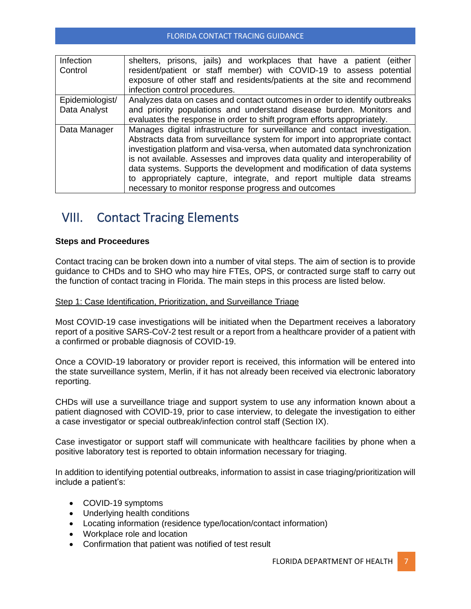| Infection                                                                    | shelters, prisons, jails) and workplaces that have a patient (either        |  |  |
|------------------------------------------------------------------------------|-----------------------------------------------------------------------------|--|--|
| Control                                                                      | resident/patient or staff member) with COVID-19 to assess potential         |  |  |
|                                                                              | exposure of other staff and residents/patients at the site and recommend    |  |  |
|                                                                              | infection control procedures.                                               |  |  |
| Epidemiologist/                                                              | Analyzes data on cases and contact outcomes in order to identify outbreaks  |  |  |
| Data Analyst                                                                 | and priority populations and understand disease burden. Monitors and        |  |  |
|                                                                              | evaluates the response in order to shift program efforts appropriately.     |  |  |
| Data Manager                                                                 | Manages digital infrastructure for surveillance and contact investigation.  |  |  |
|                                                                              | Abstracts data from surveillance system for import into appropriate contact |  |  |
|                                                                              | investigation platform and visa-versa, when automated data synchronization  |  |  |
| is not available. Assesses and improves data quality and interoperability of |                                                                             |  |  |
|                                                                              | data systems. Supports the development and modification of data systems     |  |  |
|                                                                              | to appropriately capture, integrate, and report multiple data streams       |  |  |
|                                                                              | necessary to monitor response progress and outcomes                         |  |  |

# <span id="page-7-0"></span>VIII. Contact Tracing Elements

### **Steps and Proceedures**

Contact tracing can be broken down into a number of vital steps. The aim of section is to provide guidance to CHDs and to SHO who may hire FTEs, OPS, or contracted surge staff to carry out the function of contact tracing in Florida. The main steps in this process are listed below.

### Step 1: Case Identification, Prioritization, and Surveillance Triage

Most COVID-19 case investigations will be initiated when the Department receives a laboratory report of a positive SARS-CoV-2 test result or a report from a healthcare provider of a patient with a confirmed or probable diagnosis of COVID-19.

Once a COVID-19 laboratory or provider report is received, this information will be entered into the state surveillance system, Merlin, if it has not already been received via electronic laboratory reporting.

CHDs will use a surveillance triage and support system to use any information known about a patient diagnosed with COVID-19, prior to case interview, to delegate the investigation to either a case investigator or special outbreak/infection control staff (Section IX).

Case investigator or support staff will communicate with healthcare facilities by phone when a positive laboratory test is reported to obtain information necessary for triaging.

In addition to identifying potential outbreaks, information to assist in case triaging/prioritization will include a patient's:

- COVID-19 symptoms
- Underlying health conditions
- Locating information (residence type/location/contact information)
- Workplace role and location
- Confirmation that patient was notified of test result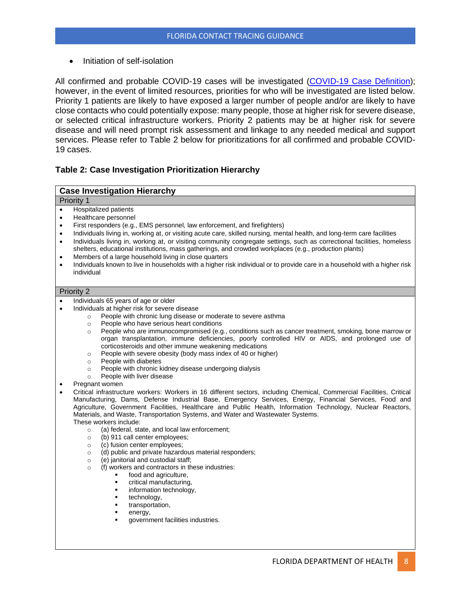• Initiation of self-isolation

All confirmed and probable COVID-19 cases will be investigated [\(COVID-19 Case Definition\)](http://www.floridahealth.gov/diseases-and-conditions/disease-reporting-and-management/disease-reporting-and-surveillance/_documents/covid-19-case-definition.pdf); however, in the event of limited resources, priorities for who will be investigated are listed below. Priority 1 patients are likely to have exposed a larger number of people and/or are likely to have close contacts who could potentially expose: many people, those at higher risk for severe disease, or selected critical infrastructure workers. Priority 2 patients may be at higher risk for severe disease and will need prompt risk assessment and linkage to any needed medical and support services. Please refer to Table 2 below for prioritizations for all confirmed and probable COVID-19 cases.

### **Table 2: Case Investigation Prioritization Hierarchy**

#### **Case Investigation Hierarchy**

- Priority 1
- Hospitalized patients
- Healthcare personnel
- First responders (e.g., EMS personnel, law enforcement, and firefighters)
- Individuals living in, working at, or visiting acute care, skilled nursing, mental health, and long-term care facilities
- Individuals living in, working at, or visiting community congregate settings, such as correctional facilities, homeless shelters, educational institutions, mass gatherings, and crowded workplaces (e.g., production plants)
- Members of a large household living in close quarters
- Individuals known to live in households with a higher risk individual or to provide care in a household with a higher risk individual

#### Priority 2

- Individuals 65 years of age or older
- Individuals at higher risk for severe disease
	- o People with chronic lung disease or moderate to severe asthma
	- o People who have serious heart conditions
	- o People who are immunocompromised (e.g., conditions such as cancer treatment, smoking, bone marrow or organ transplantation, immune deficiencies, poorly controlled HIV or AIDS, and prolonged use of corticosteroids and other immune weakening medications
	- o People with severe obesity (body mass index of 40 or higher)
	- o People with diabetes
	- o People with chronic kidney disease undergoing dialysis
	- o People with liver disease
- Pregnant women
- Critical infrastructure workers: Workers in 16 different sectors, including Chemical, Commercial Facilities, Critical Manufacturing, Dams, Defense Industrial Base, Emergency Services, Energy, Financial Services, Food and Agriculture, Government Facilities, Healthcare and Public Health, Information Technology, Nuclear Reactors, Materials, and Waste, Transportation Systems, and Water and Wastewater Systems. These workers include:
	- o (a) federal, state, and local law enforcement;
	- o (b) 911 call center employees;
	- o (c) fusion center employees;
	- (d) public and private hazardous material responders;
	- o (e) janitorial and custodial staff;
	- $(f)$  workers and contractors in these industries:
		- food and agriculture,
			- critical manufacturing,
			- information technology,
			- technology,
			- transportation,
			- energy,
			- government facilities industries.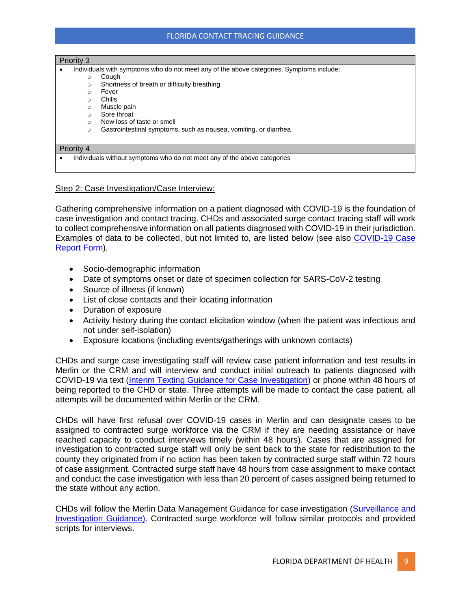### FLORIDA CONTACT TRACING GUIDANCE

#### Priority 3

- Individuals with symptoms who do not meet any of the above categories. Symptoms include:
	- o Cough
	- o Shortness of breath or difficulty breathing
	- o Fever
	- o Chills
	- o Muscle pain
	- o Sore throat
	- o New loss of taste or smell
	- o Gastrointestinal symptoms, such as nausea, vomiting, or diarrhea

#### Priority 4

• Individuals without symptoms who do not meet any of the above categories

### Step 2: Case Investigation/Case Interview:

Gathering comprehensive information on a patient diagnosed with COVID-19 is the foundation of case investigation and contact tracing. CHDs and associated surge contact tracing staff will work to collect comprehensive information on all patients diagnosed with COVID-19 in their jurisdiction. Examples of data to be collected, but not limited to, are listed below (see also [COVID-19 Case](http://www.floridahealth.gov/diseases-and-conditions/disease-reporting-and-management/disease-reporting-and-surveillance/_documents/covid19-crf.pdf)  [Report Form\)](http://www.floridahealth.gov/diseases-and-conditions/disease-reporting-and-management/disease-reporting-and-surveillance/_documents/covid19-crf.pdf).

- Socio-demographic information
- Date of symptoms onset or date of specimen collection for SARS-CoV-2 testing
- Source of illness (if known)
- List of close contacts and their locating information
- Duration of exposure
- Activity history during the contact elicitation window (when the patient was infectious and not under self-isolation)
- Exposure locations (including events/gatherings with unknown contacts)

CHDs and surge case investigating staff will review case patient information and test results in Merlin or the CRM and will interview and conduct initial outreach to patients diagnosed with COVID-19 via text [\(Interim Texting Guidance for Case Investigation\)](http://www.floridahealth.gov/diseases-and-conditions/disease-reporting-and-management/disease-reporting-and-surveillance/_documents/utilizing-texting-assist-covid-case-containment.pdf) or phone within 48 hours of being reported to the CHD or state. Three attempts will be made to contact the case patient, all attempts will be documented within Merlin or the CRM.

CHDs will have first refusal over COVID-19 cases in Merlin and can designate cases to be assigned to contracted surge workforce via the CRM if they are needing assistance or have reached capacity to conduct interviews timely (within 48 hours). Cases that are assigned for investigation to contracted surge staff will only be sent back to the state for redistribution to the county they originated from if no action has been taken by contracted surge staff within 72 hours of case assignment. Contracted surge staff have 48 hours from case assignment to make contact and conduct the case investigation with less than 20 percent of cases assigned being returned to the state without any action.

CHDs will follow the Merlin Data Management Guidance for case investigation [\(Surveillance and](http://www.floridahealth.gov/diseases-and-conditions/disease-reporting-and-management/disease-reporting-and-surveillance/surveillance-and-investigation-guidance/)  [Investigation Guidance\). C](http://www.floridahealth.gov/diseases-and-conditions/disease-reporting-and-management/disease-reporting-and-surveillance/surveillance-and-investigation-guidance/)ontracted surge workforce will follow similar protocols and provided scripts for interviews.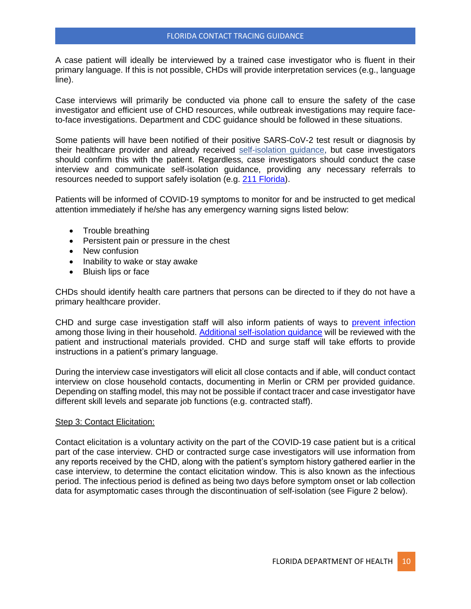A case patient will ideally be interviewed by a trained case investigator who is fluent in their primary language. If this is not possible, CHDs will provide interpretation services (e.g., language line).

Case interviews will primarily be conducted via phone call to ensure the safety of the case investigator and efficient use of CHD resources, while outbreak investigations may require faceto-face investigations. Department and CDC guidance should be followed in these situations.

Some patients will have been notified of their positive SARS-CoV-2 test result or diagnosis by their healthcare provider and already received [self-isolation guidance,](http://ww11.doh.state.fl.us/comm/_partners/action/if_you_or_someone_you_have_been_in_contact_with_has_tested_positive_for_covid19.pdf) but case investigators should confirm this with the patient. Regardless, case investigators should conduct the case interview and communicate self-isolation guidance, providing any necessary referrals to resources needed to support safely isolation (e.g. [211 Florida\)](http://www.my211florida.org/).

Patients will be informed of COVID-19 symptoms to monitor for and be instructed to get medical attention immediately if he/she has any emergency warning signs listed below:

- Trouble breathing
- Persistent pain or pressure in the chest
- New confusion
- Inability to wake or stay awake
- Bluish lips or face

CHDs should identify health care partners that persons can be directed to if they do not have a primary healthcare provider.

CHD and surge case investigation staff will also inform patients of ways to [prevent infection](https://www.cdc.gov/coronavirus/2019-ncov/prevent-getting-sick/disinfecting-your-home.html) among those living in their household. [Additional self-isolation guidance](https://www.cdc.gov/coronavirus/2019-ncov/downloads/10Things.pdf) will be reviewed with the patient and instructional materials provided. CHD and surge staff will take efforts to provide instructions in a patient's primary language.

During the interview case investigators will elicit all close contacts and if able, will conduct contact interview on close household contacts, documenting in Merlin or CRM per provided guidance. Depending on staffing model, this may not be possible if contact tracer and case investigator have different skill levels and separate job functions (e.g. contracted staff).

### Step 3: Contact Elicitation:

Contact elicitation is a voluntary activity on the part of the COVID-19 case patient but is a critical part of the case interview. CHD or contracted surge case investigators will use information from any reports received by the CHD, along with the patient's symptom history gathered earlier in the case interview, to determine the contact elicitation window. This is also known as the infectious period. The infectious period is defined as being two days before symptom onset or lab collection data for asymptomatic cases through the discontinuation of self-isolation (see Figure 2 below).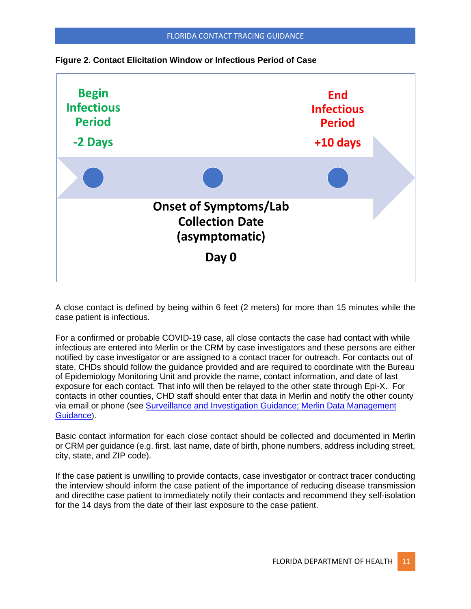

**Figure 2. Contact Elicitation Window or Infectious Period of Case** 

A close contact is defined by being within 6 feet (2 meters) for more than 15 minutes while the case patient is infectious.

For a confirmed or probable COVID-19 case, all close contacts the case had contact with while infectious are entered into Merlin or the CRM by case investigators and these persons are either notified by case investigator or are assigned to a contact tracer for outreach. For contacts out of state, CHDs should follow the guidance provided and are required to coordinate with the Bureau of Epidemiology Monitoring Unit and provide the name, contact information, and date of last exposure for each contact. That info will then be relayed to the other state through Epi-X. For contacts in other counties, CHD staff should enter that data in Merlin and notify the other county via email or phone (see [Surveillance and Investigation Guidance; Merlin Data Management](http://www.floridahealth.gov/diseases-and-conditions/disease-reporting-and-management/disease-reporting-and-surveillance/surveillance-and-investigation-guidance/)  [Guidance](http://www.floridahealth.gov/diseases-and-conditions/disease-reporting-and-management/disease-reporting-and-surveillance/surveillance-and-investigation-guidance/)).

Basic contact information for each close contact should be collected and documented in Merlin or CRM per guidance (e.g. first, last name, date of birth, phone numbers, address including street, city, state, and ZIP code).

If the case patient is unwilling to provide contacts, case investigator or contract tracer conducting the interview should inform the case patient of the importance of reducing disease transmission and directthe case patient to immediately notify their contacts and recommend they self-isolation for the 14 days from the date of their last exposure to the case patient.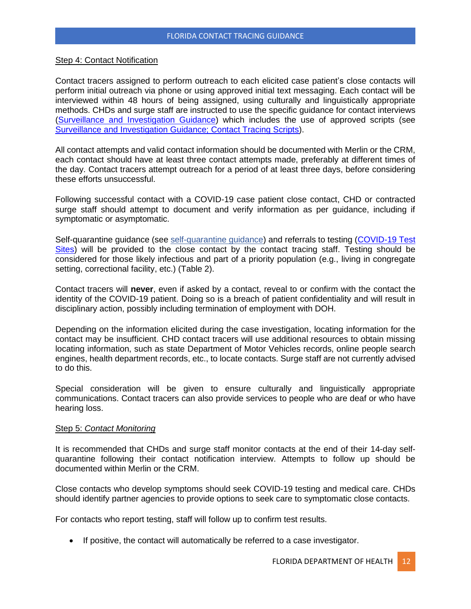### Step 4: Contact Notification

Contact tracers assigned to perform outreach to each elicited case patient's close contacts will perform initial outreach via phone or using approved initial text messaging. Each contact will be interviewed within 48 hours of being assigned, using culturally and linguistically appropriate methods. CHDs and surge staff are instructed to use the specific guidance for contact interviews [\(Surveillance and Investigation Guidance\)](http://www.floridahealth.gov/diseases-and-conditions/disease-reporting-and-management/disease-reporting-and-surveillance/surveillance-and-investigation-guidance/) which includes the use of approved scripts (see [Surveillance and Investigation Guidance; Contact Tracing Scripts\).](http://www.floridahealth.gov/diseases-and-conditions/disease-reporting-and-management/disease-reporting-and-surveillance/surveillance-and-investigation-guidance/)

All contact attempts and valid contact information should be documented with Merlin or the CRM, each contact should have at least three contact attempts made, preferably at different times of the day. Contact tracers attempt outreach for a period of at least three days, before considering these efforts unsuccessful.

Following successful contact with a COVID-19 case patient close contact, CHD or contracted surge staff should attempt to document and verify information as per guidance, including if symptomatic or asymptomatic.

Self-quarantine guidance (see [self-quarantine guidance\)](http://ww11.doh.state.fl.us/comm/_partners/action/if_you_or_someone_you_have_been_in_contact_with_has_tested_positive_for_covid19.pdf) and referrals to testing [\(COVID-19 Test](https://floridadisaster.org/covid19/testing-sites/)  [Sites\)](https://floridadisaster.org/covid19/testing-sites/) will be provided to the close contact by the contact tracing staff. Testing should be considered for those likely infectious and part of a priority population (e.g., living in congregate setting, correctional facility, etc.) (Table 2).

Contact tracers will **never**, even if asked by a contact, reveal to or confirm with the contact the identity of the COVID-19 patient. Doing so is a breach of patient confidentiality and will result in disciplinary action, possibly including termination of employment with DOH.

Depending on the information elicited during the case investigation, locating information for the contact may be insufficient. CHD contact tracers will use additional resources to obtain missing locating information, such as state Department of Motor Vehicles records, online people search engines, health department records, etc., to locate contacts. Surge staff are not currently advised to do this.

Special consideration will be given to ensure culturally and linguistically appropriate communications. Contact tracers can also provide services to people who are deaf or who have hearing loss.

### Step 5: *Contact Monitoring*

It is recommended that CHDs and surge staff monitor contacts at the end of their 14-day selfquarantine following their contact notification interview. Attempts to follow up should be documented within Merlin or the CRM.

Close contacts who develop symptoms should seek COVID-19 testing and medical care. CHDs should identify partner agencies to provide options to seek care to symptomatic close contacts.

For contacts who report testing, staff will follow up to confirm test results.

• If positive, the contact will automatically be referred to a case investigator.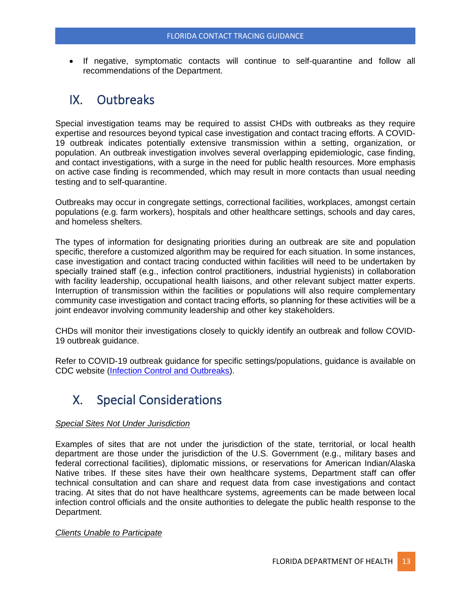• If negative, symptomatic contacts will continue to self-quarantine and follow all recommendations of the Department.

### <span id="page-13-0"></span>IX. Outbreaks

Special investigation teams may be required to assist CHDs with outbreaks as they require expertise and resources beyond typical case investigation and contact tracing efforts. A COVID-19 outbreak indicates potentially extensive transmission within a setting, organization, or population. An outbreak investigation involves several overlapping epidemiologic, case finding, and contact investigations, with a surge in the need for public health resources. More emphasis on active case finding is recommended, which may result in more contacts than usual needing testing and to self-quarantine.

Outbreaks may occur in congregate settings, correctional facilities, workplaces, amongst certain populations (e.g. farm workers), hospitals and other healthcare settings, schools and day cares, and homeless shelters.

The types of information for designating priorities during an outbreak are site and population specific, therefore a customized algorithm may be required for each situation. In some instances, case investigation and contact tracing conducted within facilities will need to be undertaken by specially trained staff (e.g., infection control practitioners, industrial hygienists) in collaboration with facility leadership, occupational health liaisons, and other relevant subject matter experts. Interruption of transmission within the facilities or populations will also require complementary community case investigation and contact tracing efforts, so planning for these activities will be a joint endeavor involving community leadership and other key stakeholders.

CHDs will monitor their investigations closely to quickly identify an outbreak and follow COVID-19 outbreak guidance.

Refer to COVID-19 outbreak guidance for specific settings/populations, guidance is available on CDC website [\(Infection Control and Outbreaks\).](file:///C:/Users/SpencerE/AppData/Local/Microsoft/Windows/INetCache/Content.Outlook/GP6O1YRC/Infection%20Control%20and%20Outbreaks)) 

# <span id="page-13-1"></span>X. Special Considerations

### *Special Sites Not Under Jurisdiction*

Examples of sites that are not under the jurisdiction of the state, territorial, or local health department are those under the jurisdiction of the U.S. Government (e.g., military bases and federal correctional facilities), diplomatic missions, or reservations for American Indian/Alaska Native tribes. If these sites have their own healthcare systems, Department staff can offer technical consultation and can share and request data from case investigations and contact tracing. At sites that do not have healthcare systems, agreements can be made between local infection control officials and the onsite authorities to delegate the public health response to the Department.

### *Clients Unable to Participate*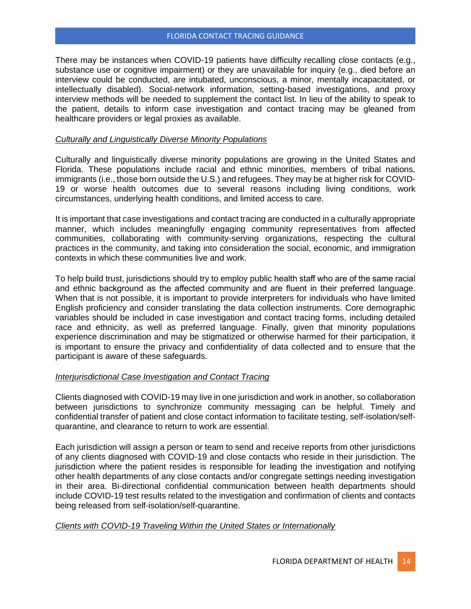There may be instances when COVID-19 patients have difficulty recalling close contacts (e.g., substance use or cognitive impairment) or they are unavailable for inquiry (e.g., died before an interview could be conducted, are intubated, unconscious, a minor, mentally incapacitated, or intellectually disabled). Social-network information, setting-based investigations, and proxy interview methods will be needed to supplement the contact list. In lieu of the ability to speak to the patient, details to inform case investigation and contact tracing may be gleaned from healthcare providers or legal proxies as available.

### *Culturally and Linguistically Diverse Minority Populations*

Culturally and linguistically diverse minority populations are growing in the United States and Florida. These populations include racial and ethnic minorities, members of tribal nations, immigrants (i.e., those born outside the U.S.) and refugees. They may be at higher risk for COVID-19 or worse health outcomes due to several reasons including living conditions, work circumstances, underlying health conditions, and limited access to care.

It is important that case investigations and contact tracing are conducted in a culturally appropriate manner, which includes meaningfully engaging community representatives from affected communities, collaborating with community-serving organizations, respecting the cultural practices in the community, and taking into consideration the social, economic, and immigration contexts in which these communities live and work.

To help build trust, jurisdictions should try to employ public health staff who are of the same racial and ethnic background as the affected community and are fluent in their preferred language. When that is not possible, it is important to provide interpreters for individuals who have limited English proficiency and consider translating the data collection instruments. Core demographic variables should be included in case investigation and contact tracing forms, including detailed race and ethnicity, as well as preferred language. Finally, given that minority populations experience discrimination and may be stigmatized or otherwise harmed for their participation, it is important to ensure the privacy and confidentiality of data collected and to ensure that the participant is aware of these safeguards.

### *Interjurisdictional Case Investigation and Contact Tracing*

Clients diagnosed with COVID-19 may live in one jurisdiction and work in another, so collaboration between jurisdictions to synchronize community messaging can be helpful. Timely and confidential transfer of patient and close contact information to facilitate testing, self-isolation/selfquarantine, and clearance to return to work are essential.

Each jurisdiction will assign a person or team to send and receive reports from other jurisdictions of any clients diagnosed with COVID-19 and close contacts who reside in their jurisdiction. The jurisdiction where the patient resides is responsible for leading the investigation and notifying other health departments of any close contacts and/or congregate settings needing investigation in their area. Bi-directional confidential communication between health departments should include COVID-19 test results related to the investigation and confirmation of clients and contacts being released from self-isolation/self-quarantine.

### *Clients with COVID-19 Traveling Within the United States or Internationally*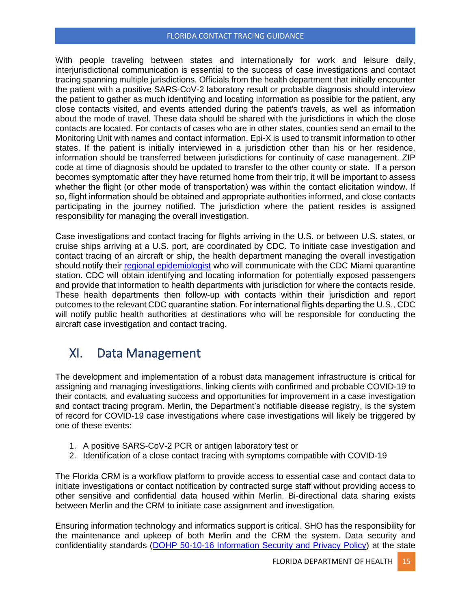#### FLORIDA CONTACT TRACING GUIDANCE

With people traveling between states and internationally for work and leisure daily, interjurisdictional communication is essential to the success of case investigations and contact tracing spanning multiple jurisdictions. Officials from the health department that initially encounter the patient with a positive SARS-CoV-2 laboratory result or probable diagnosis should interview the patient to gather as much identifying and locating information as possible for the patient, any close contacts visited, and events attended during the patient's travels, as well as information about the mode of travel. These data should be shared with the jurisdictions in which the close contacts are located. For contacts of cases who are in other states, counties send an email to the Monitoring Unit with names and contact information. Epi-X is used to transmit information to other states. If the patient is initially interviewed in a jurisdiction other than his or her residence, information should be transferred between jurisdictions for continuity of case management. ZIP code at time of diagnosis should be updated to transfer to the other county or state. If a person becomes symptomatic after they have returned home from their trip, it will be important to assess whether the flight (or other mode of transportation) was within the contact elicitation window. If so, flight information should be obtained and appropriate authorities informed, and close contacts participating in the journey notified. The jurisdiction where the patient resides is assigned responsibility for managing the overall investigation.

Case investigations and contact tracing for flights arriving in the U.S. or between U.S. states, or cruise ships arriving at a U.S. port, are coordinated by CDC. To initiate case investigation and contact tracing of an aircraft or ship, the health department managing the overall investigation should notify their [regional epidemiologist](http://www.floridahealth.gov/diseases-and-conditions/disease-reporting-and-management/disease-reporting-and-surveillance/_documents/investigation-unit-map.pdf) who will communicate with the CDC Miami quarantine station. CDC will obtain identifying and locating information for potentially exposed passengers and provide that information to health departments with jurisdiction for where the contacts reside. These health departments then follow-up with contacts within their jurisdiction and report outcomes to the relevant CDC quarantine station. For international flights departing the U.S., CDC will notify public health authorities at destinations who will be responsible for conducting the aircraft case investigation and contact tracing.

# <span id="page-15-0"></span>XI. Data Management

The development and implementation of a robust data management infrastructure is critical for assigning and managing investigations, linking clients with confirmed and probable COVID-19 to their contacts, and evaluating success and opportunities for improvement in a case investigation and contact tracing program. Merlin, the Department's notifiable disease registry, is the system of record for COVID-19 case investigations where case investigations will likely be triggered by one of these events:

- 1. A positive SARS-CoV-2 PCR or antigen laboratory test or
- 2. Identification of a close contact tracing with symptoms compatible with COVID-19

The Florida CRM is a workflow platform to provide access to essential case and contact data to initiate investigations or contact notification by contracted surge staff without providing access to other sensitive and confidential data housed within Merlin. Bi-directional data sharing exists between Merlin and the CRM to initiate case assignment and investigation.

Ensuring information technology and informatics support is critical. SHO has the responsibility for the maintenance and upkeep of both Merlin and the CRM the system. Data security and confidentiality standards [\(DOHP 50-10-16 Information Security and Privacy Policy\)](https://floridahealth.sharepoint.com/sites/INFORMATIONTECHNOLOGY/Policies/DOHP_50-10-16_Complete.pdf) at the state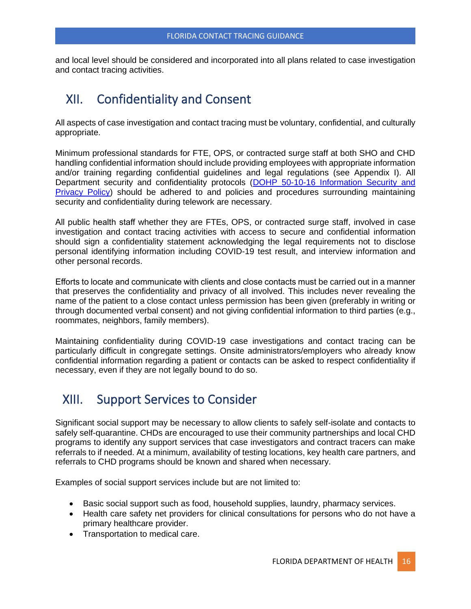and local level should be considered and incorporated into all plans related to case investigation and contact tracing activities.

### <span id="page-16-0"></span>XII. Confidentiality and Consent

All aspects of case investigation and contact tracing must be voluntary, confidential, and culturally appropriate.

Minimum professional standards for FTE, OPS, or contracted surge staff at both SHO and CHD handling confidential information should include providing employees with appropriate information and/or training regarding confidential guidelines and legal regulations (see Appendix I). All Department security and confidentiality protocols (DOHP 50-10-16 Information Security and [Privacy Policy\)](https://floridahealth.sharepoint.com/sites/INFORMATIONTECHNOLOGY/Policies/DOHP_50-10-16_Complete.pdf) should be adhered to and policies and procedures surrounding maintaining security and confidentiality during telework are necessary.

All public health staff whether they are FTEs, OPS, or contracted surge staff, involved in case investigation and contact tracing activities with access to secure and confidential information should sign a confidentiality statement acknowledging the legal requirements not to disclose personal identifying information including COVID-19 test result, and interview information and other personal records.

Efforts to locate and communicate with clients and close contacts must be carried out in a manner that preserves the confidentiality and privacy of all involved. This includes never revealing the name of the patient to a close contact unless permission has been given (preferably in writing or through documented verbal consent) and not giving confidential information to third parties (e.g., roommates, neighbors, family members).

Maintaining confidentiality during COVID-19 case investigations and contact tracing can be particularly difficult in congregate settings. Onsite administrators/employers who already know confidential information regarding a patient or contacts can be asked to respect confidentiality if necessary, even if they are not legally bound to do so.

### <span id="page-16-1"></span>XIII. Support Services to Consider

Significant social support may be necessary to allow clients to safely self-isolate and contacts to safely self-quarantine. CHDs are encouraged to use their community partnerships and local CHD programs to identify any support services that case investigators and contract tracers can make referrals to if needed. At a minimum, availability of testing locations, key health care partners, and referrals to CHD programs should be known and shared when necessary.

Examples of social support services include but are not limited to:

- Basic social support such as food, household supplies, laundry, pharmacy services.
- Health care safety net providers for clinical consultations for persons who do not have a primary healthcare provider.
- Transportation to medical care.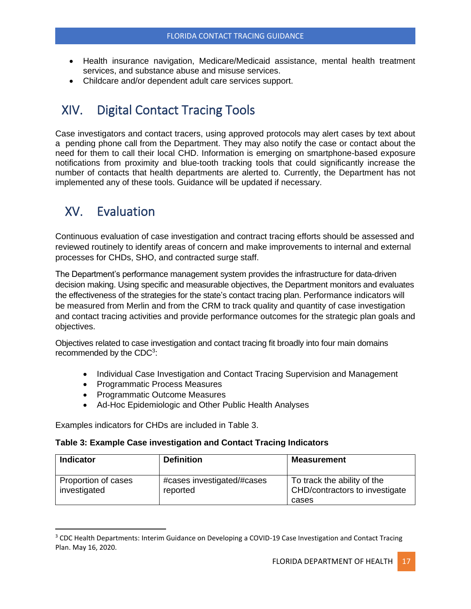- Health insurance navigation, Medicare/Medicaid assistance, mental health treatment services, and substance abuse and misuse services.
- Childcare and/or dependent adult care services support.

# <span id="page-17-0"></span>XIV. Digital Contact Tracing Tools

Case investigators and contact tracers, using approved protocols may alert cases by text about a pending phone call from the Department. They may also notify the case or contact about the need for them to call their local CHD. Information is emerging on smartphone-based exposure notifications from proximity and blue-tooth tracking tools that could significantly increase the number of contacts that health departments are alerted to. Currently, the Department has not implemented any of these tools. Guidance will be updated if necessary.

# <span id="page-17-1"></span>XV. Evaluation

Continuous evaluation of case investigation and contract tracing efforts should be assessed and reviewed routinely to identify areas of concern and make improvements to internal and external processes for CHDs, SHO, and contracted surge staff.

The Department's performance management system provides the infrastructure for data-driven decision making. Using specific and measurable objectives, the Department monitors and evaluates the effectiveness of the strategies for the state's contact tracing plan. Performance indicators will be measured from Merlin and from the CRM to track quality and quantity of case investigation and contact tracing activities and provide performance outcomes for the strategic plan goals and objectives.

Objectives related to case investigation and contact tracing fit broadly into four main domains recommended by the CDC<sup>3</sup>:

- Individual Case Investigation and Contact Tracing Supervision and Management
- Programmatic Process Measures
- Programmatic Outcome Measures
- Ad-Hoc Epidemiologic and Other Public Health Analyses

Examples indicators for CHDs are included in Table 3.

### **Table 3: Example Case investigation and Contact Tracing Indicators**

| <b>Indicator</b>                    | <b>Definition</b>                      | <b>Measurement</b>                                                     |
|-------------------------------------|----------------------------------------|------------------------------------------------------------------------|
| Proportion of cases<br>investigated | #cases investigated/#cases<br>reported | To track the ability of the<br>CHD/contractors to investigate<br>cases |

<sup>&</sup>lt;sup>3</sup> CDC Health Departments: Interim Guidance on Developing a COVID-19 Case Investigation and Contact Tracing Plan. May 16, 2020.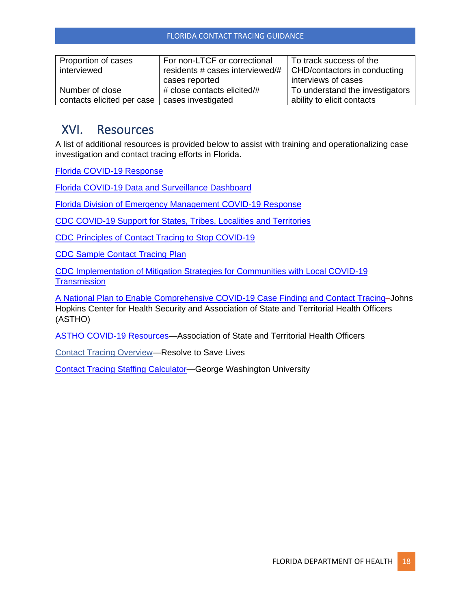| Proportion of cases<br>interviewed | For non-LTCF or correctional<br>residents # cases interviewed/#<br>cases reported | To track success of the<br>CHD/contactors in conducting<br>interviews of cases |
|------------------------------------|-----------------------------------------------------------------------------------|--------------------------------------------------------------------------------|
| Number of close                    | # close contacts elicited/#                                                       | To understand the investigators                                                |
| contacts elicited per case         | cases investigated                                                                | ability to elicit contacts                                                     |

### <span id="page-18-0"></span>XVI. Resources

A list of additional resources is provided below to assist with training and operationalizing case investigation and contact tracing efforts in Florida.

[Florida COVID-19 Response](https://floridahealthcovid19.gov/)

[Florida COVID-19 Data and Surveillance Dashboard](https://experience.arcgis.com/experience/96dd742462124fa0b38ddedb9b25e429)

[Florida Division of Emergency Management COVID-19 Response](https://floridadisaster.org/covid19/) 

[CDC COVID-19 Support for States, Tribes, Localities and Territories](https://www.cdc.gov/coronavirus/2019-ncov/php/index.html?CDC_AA_refVal=https%3A%2F%2Fwww.cdc.gov%2Fcoronavirus%2F2019-ncov%2Fphp%2Fopen-america%2Findex.html)

[CDC Principles of Contact Tracing to Stop COVID-19](https://www.cdc.gov/coronavirus/2019-ncov/php/principles-contact-tracing.html)

[CDC Sample Contact Tracing Plan](https://www.cdc.gov/coronavirus/2019-ncov/downloads/php/contact-tracing-training-plan.pdf)

[CDC Implementation of Mitigation Strategies for Communities with Local COVID-19](https://www.cdc.gov/coronavirus/2019-ncov/downloads/php/CDC-Activities-Initiatives-for-COVID-19-Response.pdf)  **[Transmission](https://www.cdc.gov/coronavirus/2019-ncov/downloads/php/CDC-Activities-Initiatives-for-COVID-19-Response.pdf)** 

[A National Plan to Enable Comprehensive COVID-19 Case Finding and Contact Tracing–](https://www.centerforhealthsecurity.org/our-work/pubs_archive/pubs-pdfs/2020/200410-national-plan-to-contact-tracing.pdf)Johns Hopkins Center for Health Security and Association of State and Territorial Health Officers (ASTHO)

[ASTHO COVID-19 Resources—](https://www.astho.org/COVID-19/)Association of State and Territorial Health Officers

[Contact Tracing Overview—](https://preventepidemics.org/wp-content/uploads/2020/04/Contact-Tracing-overview-slides-April-21-1.pdf)Resolve to Save Lives

[Contact Tracing Staffing Calculator—](https://www.gwhwi.org/estimator-613404.html)George Washington University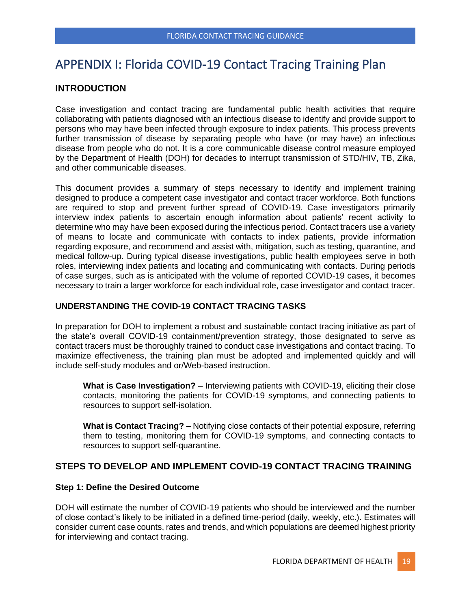### <span id="page-19-0"></span>APPENDIX I: Florida COVID-19 Contact Tracing Training Plan

### **INTRODUCTION**

Case investigation and contact tracing are fundamental public health activities that require collaborating with patients diagnosed with an infectious disease to identify and provide support to persons who may have been infected through exposure to index patients. This process prevents further transmission of disease by separating people who have (or may have) an infectious disease from people who do not. It is a core communicable disease control measure employed by the Department of Health (DOH) for decades to interrupt transmission of STD/HIV, TB, Zika, and other communicable diseases.

This document provides a summary of steps necessary to identify and implement training designed to produce a competent case investigator and contact tracer workforce. Both functions are required to stop and prevent further spread of COVID-19. Case investigators primarily interview index patients to ascertain enough information about patients' recent activity to determine who may have been exposed during the infectious period. Contact tracers use a variety of means to locate and communicate with contacts to index patients, provide information regarding exposure, and recommend and assist with, mitigation, such as testing, quarantine, and medical follow-up. During typical disease investigations, public health employees serve in both roles, interviewing index patients and locating and communicating with contacts. During periods of case surges, such as is anticipated with the volume of reported COVID-19 cases, it becomes necessary to train a larger workforce for each individual role, case investigator and contact tracer.

### **UNDERSTANDING THE COVID-19 CONTACT TRACING TASKS**

In preparation for DOH to implement a robust and sustainable contact tracing initiative as part of the state's overall COVID-19 containment/prevention strategy, those designated to serve as contact tracers must be thoroughly trained to conduct case investigations and contact tracing. To maximize effectiveness, the training plan must be adopted and implemented quickly and will include self-study modules and or/Web-based instruction.

**What is Case Investigation?** – Interviewing patients with COVID-19, eliciting their close contacts, monitoring the patients for COVID-19 symptoms, and connecting patients to resources to support self-isolation.

**What is Contact Tracing?** – Notifying close contacts of their potential exposure, referring them to testing, monitoring them for COVID-19 symptoms, and connecting contacts to resources to support self-quarantine.

### **STEPS TO DEVELOP AND IMPLEMENT COVID-19 CONTACT TRACING TRAINING**

### **Step 1: Define the Desired Outcome**

DOH will estimate the number of COVID-19 patients who should be interviewed and the number of close contact's likely to be initiated in a defined time-period (daily, weekly, etc.). Estimates will consider current case counts, rates and trends, and which populations are deemed highest priority for interviewing and contact tracing.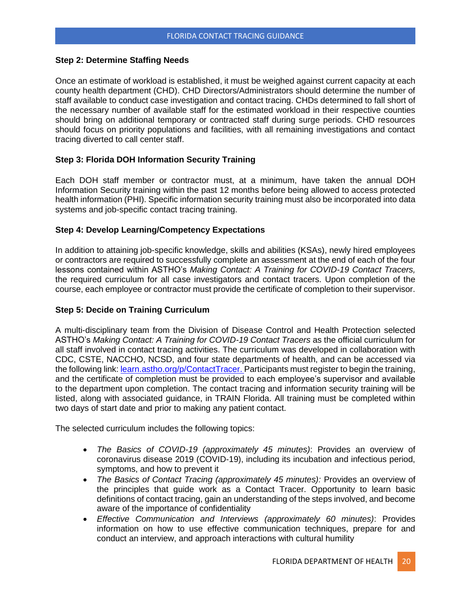### **Step 2: Determine Staffing Needs**

Once an estimate of workload is established, it must be weighed against current capacity at each county health department (CHD). CHD Directors/Administrators should determine the number of staff available to conduct case investigation and contact tracing. CHDs determined to fall short of the necessary number of available staff for the estimated workload in their respective counties should bring on additional temporary or contracted staff during surge periods. CHD resources should focus on priority populations and facilities, with all remaining investigations and contact tracing diverted to call center staff.

### **Step 3: Florida DOH Information Security Training**

Each DOH staff member or contractor must, at a minimum, have taken the annual DOH Information Security training within the past 12 months before being allowed to access protected health information (PHI). Specific information security training must also be incorporated into data systems and job-specific contact tracing training.

### **Step 4: Develop Learning/Competency Expectations**

In addition to attaining job-specific knowledge, skills and abilities (KSAs), newly hired employees or contractors are required to successfully complete an assessment at the end of each of the four lessons contained within ASTHO's *Making Contact: A Training for COVID-19 Contact Tracers,*  the required curriculum for all case investigators and contact tracers. Upon completion of the course, each employee or contractor must provide the certificate of completion to their supervisor.

### **Step 5: Decide on Training Curriculum**

A multi-disciplinary team from the Division of Disease Control and Health Protection selected ASTHO's *Making Contact: A Training for COVID-19 Contact Tracers* as the official curriculum for all staff involved in contact tracing activities. The curriculum was developed in collaboration with CDC, CSTE, NACCHO, NCSD, and four state departments of health, and can be accessed via the following link[: learn.astho.org/p/ContactTracer.](https://learn.astho.org/p/ContactTracer) Participants must register to begin the training, and the certificate of completion must be provided to each employee's supervisor and available to the department upon completion. The contact tracing and information security training will be listed, along with associated guidance, in TRAIN Florida. All training must be completed within two days of start date and prior to making any patient contact.

The selected curriculum includes the following topics:

- *The Basics of COVID-19 (approximately 45 minutes)*: Provides an overview of coronavirus disease 2019 (COVID-19), including its incubation and infectious period, symptoms, and how to prevent it
- *The Basics of Contact Tracing (approximately 45 minutes):* Provides an overview of the principles that guide work as a Contact Tracer. Opportunity to learn basic definitions of contact tracing, gain an understanding of the steps involved, and become aware of the importance of confidentiality
- *Effective Communication and Interviews (approximately 60 minutes)*: Provides information on how to use effective communication techniques, prepare for and conduct an interview, and approach interactions with cultural humility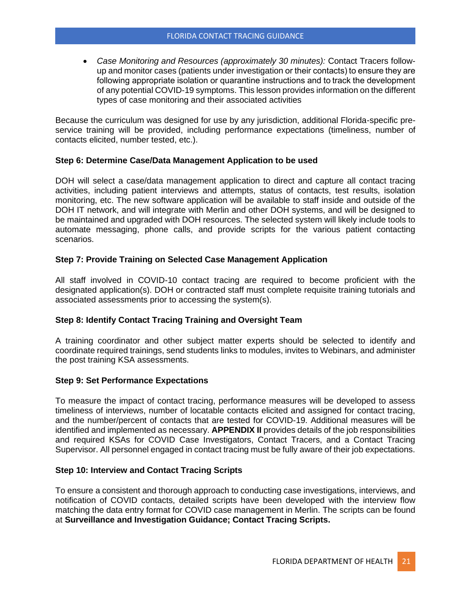• *Case Monitoring and Resources (approximately 30 minutes):* Contact Tracers followup and monitor cases (patients under investigation or their contacts) to ensure they are following appropriate isolation or quarantine instructions and to track the development of any potential COVID-19 symptoms. This lesson provides information on the different types of case monitoring and their associated activities

Because the curriculum was designed for use by any jurisdiction, additional Florida-specific preservice training will be provided, including performance expectations (timeliness, number of contacts elicited, number tested, etc.).

### **Step 6: Determine Case/Data Management Application to be used**

DOH will select a case/data management application to direct and capture all contact tracing activities, including patient interviews and attempts, status of contacts, test results, isolation monitoring, etc. The new software application will be available to staff inside and outside of the DOH IT network, and will integrate with Merlin and other DOH systems, and will be designed to be maintained and upgraded with DOH resources. The selected system will likely include tools to automate messaging, phone calls, and provide scripts for the various patient contacting scenarios.

### **Step 7: Provide Training on Selected Case Management Application**

All staff involved in COVID-10 contact tracing are required to become proficient with the designated application(s). DOH or contracted staff must complete requisite training tutorials and associated assessments prior to accessing the system(s).

### **Step 8: Identify Contact Tracing Training and Oversight Team**

A training coordinator and other subject matter experts should be selected to identify and coordinate required trainings, send students links to modules, invites to Webinars, and administer the post training KSA assessments.

### **Step 9: Set Performance Expectations**

To measure the impact of contact tracing, performance measures will be developed to assess timeliness of interviews, number of locatable contacts elicited and assigned for contact tracing, and the number/percent of contacts that are tested for COVID-19. Additional measures will be identified and implemented as necessary. **APPENDIX II** provides details of the job responsibilities and required KSAs for COVID Case Investigators, Contact Tracers, and a Contact Tracing Supervisor. All personnel engaged in contact tracing must be fully aware of their job expectations.

### **Step 10: Interview and Contact Tracing Scripts**

To ensure a consistent and thorough approach to conducting case investigations, interviews, and notification of COVID contacts, detailed scripts have been developed with the interview flow matching the data entry format for COVID case management in Merlin. The scripts can be found at **Surveillance and Investigation Guidance; Contact Tracing Scripts.**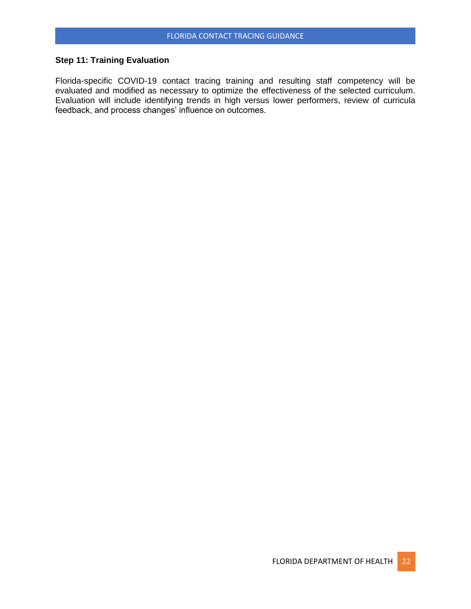### **Step 11: Training Evaluation**

Florida-specific COVID-19 contact tracing training and resulting staff competency will be evaluated and modified as necessary to optimize the effectiveness of the selected curriculum. Evaluation will include identifying trends in high versus lower performers, review of curricula feedback, and process changes' influence on outcomes.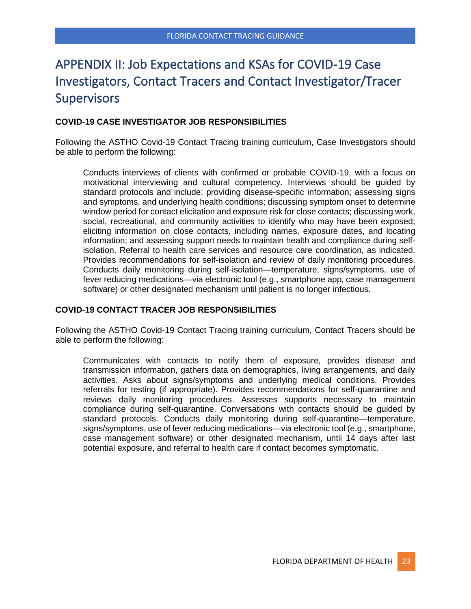# <span id="page-23-0"></span>APPENDIX II: Job Expectations and KSAs for COVID-19 Case Investigators, Contact Tracers and Contact Investigator/Tracer **Supervisors**

### **COVID-19 CASE INVESTIGATOR JOB RESPONSIBILITIES**

Following the ASTHO Covid-19 Contact Tracing training curriculum, Case Investigators should be able to perform the following:

Conducts interviews of clients with confirmed or probable COVID-19, with a focus on motivational interviewing and cultural competency. Interviews should be guided by standard protocols and include: providing disease-specific information; assessing signs and symptoms, and underlying health conditions; discussing symptom onset to determine window period for contact elicitation and exposure risk for close contacts; discussing work, social, recreational, and community activities to identify who may have been exposed; eliciting information on close contacts, including names, exposure dates, and locating information; and assessing support needs to maintain health and compliance during selfisolation. Referral to health care services and resource care coordination, as indicated. Provides recommendations for self-isolation and review of daily monitoring procedures. Conducts daily monitoring during self-isolation—temperature, signs/symptoms, use of fever reducing medications—via electronic tool (e.g., smartphone app, case management software) or other designated mechanism until patient is no longer infectious.

### **COVID-19 CONTACT TRACER JOB RESPONSIBILITIES**

Following the ASTHO Covid-19 Contact Tracing training curriculum, Contact Tracers should be able to perform the following:

Communicates with contacts to notify them of exposure, provides disease and transmission information, gathers data on demographics, living arrangements, and daily activities. Asks about signs/symptoms and underlying medical conditions. Provides referrals for testing (if appropriate). Provides recommendations for self-quarantine and reviews daily monitoring procedures. Assesses supports necessary to maintain compliance during self-quarantine. Conversations with contacts should be guided by standard protocols. Conducts daily monitoring during self-quarantine—temperature, signs/symptoms, use of fever reducing medications—via electronic tool (e.g., smartphone, case management software) or other designated mechanism, until 14 days after last potential exposure, and referral to health care if contact becomes symptomatic.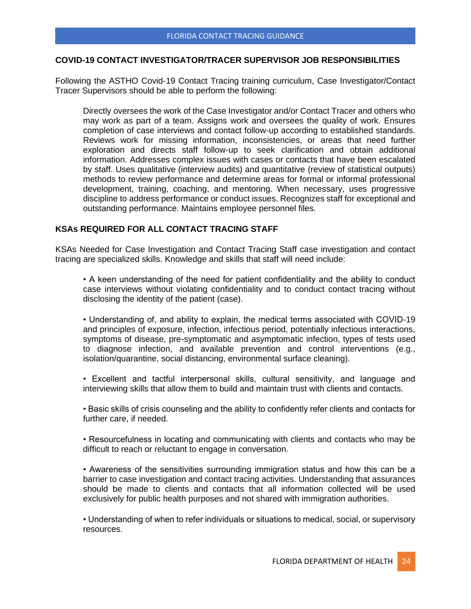### **COVID-19 CONTACT INVESTIGATOR/TRACER SUPERVISOR JOB RESPONSIBILITIES**

Following the ASTHO Covid-19 Contact Tracing training curriculum, Case Investigator/Contact Tracer Supervisors should be able to perform the following:

Directly oversees the work of the Case Investigator and/or Contact Tracer and others who may work as part of a team. Assigns work and oversees the quality of work. Ensures completion of case interviews and contact follow-up according to established standards. Reviews work for missing information, inconsistencies, or areas that need further exploration and directs staff follow-up to seek clarification and obtain additional information. Addresses complex issues with cases or contacts that have been escalated by staff. Uses qualitative (interview audits) and quantitative (review of statistical outputs) methods to review performance and determine areas for formal or informal professional development, training, coaching, and mentoring. When necessary, uses progressive discipline to address performance or conduct issues. Recognizes staff for exceptional and outstanding performance. Maintains employee personnel files.

### **KSAs REQUIRED FOR ALL CONTACT TRACING STAFF**

KSAs Needed for Case Investigation and Contact Tracing Staff case investigation and contact tracing are specialized skills. Knowledge and skills that staff will need include:

• A keen understanding of the need for patient confidentiality and the ability to conduct case interviews without violating confidentiality and to conduct contact tracing without disclosing the identity of the patient (case).

• Understanding of, and ability to explain, the medical terms associated with COVID-19 and principles of exposure, infection, infectious period, potentially infectious interactions, symptoms of disease, pre-symptomatic and asymptomatic infection, types of tests used to diagnose infection, and available prevention and control interventions (e.g., isolation/quarantine, social distancing, environmental surface cleaning).

• Excellent and tactful interpersonal skills, cultural sensitivity, and language and interviewing skills that allow them to build and maintain trust with clients and contacts.

• Basic skills of crisis counseling and the ability to confidently refer clients and contacts for further care, if needed.

• Resourcefulness in locating and communicating with clients and contacts who may be difficult to reach or reluctant to engage in conversation.

• Awareness of the sensitivities surrounding immigration status and how this can be a barrier to case investigation and contact tracing activities. Understanding that assurances should be made to clients and contacts that all information collected will be used exclusively for public health purposes and not shared with immigration authorities.

• Understanding of when to refer individuals or situations to medical, social, or supervisory resources.